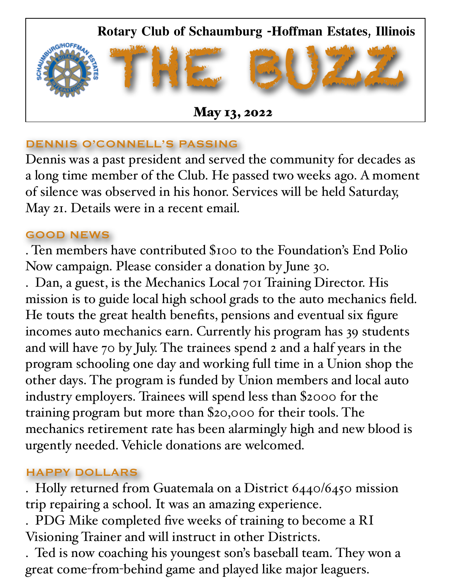

### DENNIS O'CONNELL'S PASSING

Dennis was a past president and served the community for decades as a long time member of the Club. He passed two weeks ago. A moment of silence was observed in his honor. Services will be held Saturday, May 21. Details were in a recent email.

#### GOOD NEWS

. Ten members have contributed \$100 to the Foundation's End Polio Now campaign. Please consider a donation by June 30.

. Dan, a guest, is the Mechanics Local 701 Training Director. His mission is to guide local high school grads to the auto mechanics field. He touts the great health benefits, pensions and eventual six figure incomes auto mechanics earn. Currently his program has 39 students and will have 70 by July. The trainees spend 2 and a half years in the program schooling one day and working full time in a Union shop the other days. The program is funded by Union members and local auto industry employers. Trainees will spend less than \$2000 for the training program but more than \$20,000 for their tools. The mechanics retirement rate has been alarmingly high and new blood is urgently needed. Vehicle donations are welcomed.

### HAPPY DOLLARS

. Holly returned from Guatemala on a District 6440/6450 mission trip repairing a school. It was an amazing experience.

. PDG Mike completed five weeks of training to become a RI Visioning Trainer and will instruct in other Districts.

. Ted is now coaching his youngest son's baseball team. They won a great come-from-behind game and played like major leaguers.